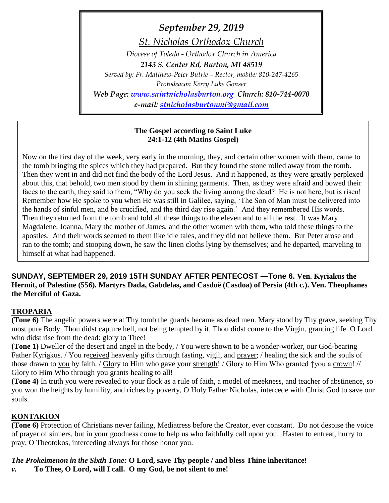*September 29, 2019 St. Nicholas Orthodox Church Diocese of Toledo - Orthodox Church in America 2143 S. Center Rd, Burton, MI 48519 Served by: Fr. Matthew-Peter Butrie – Rector, mobile: 810-247-4265 Protodeacon Kerry Luke Gonser Web Page: [www.saintnicholasburton.org](http://www.saintnicholasburton.org/) Church: 810-744-0070 e-mail: [stnicholasburtonmi@gmail.com](mailto:stnicholasburtonmi@gmail.com)*

### **The Gospel according to Saint Luke 24:1-12 (4th Matins Gospel)**

Now on the first day of the week, very early in the morning, they, and certain other women with them, came to the tomb bringing the spices which they had prepared. But they found the stone rolled away from the tomb. Then they went in and did not find the body of the Lord Jesus. And it happened, as they were greatly perplexed about this, that behold, two men stood by them in shining garments. Then, as they were afraid and bowed their faces to the earth, they said to them, "Why do you seek the living among the dead? He is not here, but is risen! Remember how He spoke to you when He was still in Galilee, saying, 'The Son of Man must be delivered into the hands of sinful men, and be crucified, and the third day rise again.' And they remembered His words. Then they returned from the tomb and told all these things to the eleven and to all the rest. It was Mary Magdalene, Joanna, Mary the mother of James, and the other women with them, who told these things to the apostles. And their words seemed to them like idle tales, and they did not believe them. But Peter arose and ran to the tomb; and stooping down, he saw the linen cloths lying by themselves; and he departed, marveling to himself at what had happened.

**SUNDAY, SEPTEMBER 29, 2019 15TH SUNDAY AFTER PENTECOST —Tone 6. Ven. Kyriakus the Hermit, of Palestine (556). Martyrs Dada, Gabdelas, and Casdoë (Casdoa) of Persia (4th c.). Ven. Theophanes the Merciful of Gaza.**

### **TROPARIA**

**(Tone 6)** The angelic powers were at Thy tomb the guards became as dead men. Mary stood by Thy grave, seeking Thy most pure Body. Thou didst capture hell, not being tempted by it. Thou didst come to the Virgin, granting life. O Lord who didst rise from the dead: glory to Thee!

**(Tone 1)** Dweller of the desert and angel in the body, / You were shown to be a wonder-worker, our God-bearing Father Kyriakus. / You received heavenly gifts through fasting, vigil, and prayer; / healing the sick and the souls of those drawn to you by faith. / Glory to Him who gave your strength! / Glory to Him Who granted ↑you a crown! // Glory to Him Who through you grants healing to all!

**(Tone 4)** In truth you were revealed to your flock as a rule of faith, a model of meekness, and teacher of abstinence, so you won the heights by humility, and riches by poverty, O Holy Father Nicholas, intercede with Christ God to save our souls.

# **KONTAKION**

**(Tone 6)** Protection of Christians never failing, Mediatress before the Creator, ever constant. Do not despise the voice of prayer of sinners, but in your goodness come to help us who faithfully call upon you. Hasten to entreat, hurry to pray, O Theotokos, interceding always for those honor you.

*The Prokeimenon in the Sixth Tone:* **O Lord, save Thy people / and bless Thine inheritance!**

*v.* **To Thee, O Lord, will I call. O my God, be not silent to me!**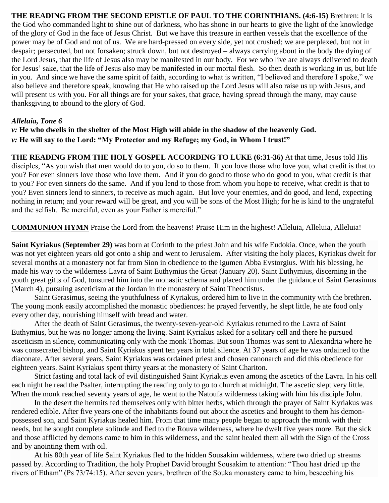**THE READING FROM THE SECOND EPISTLE OF PAUL TO THE CORINTHIANS. (4:6-15)** Brethren: it is the God who commanded light to shine out of darkness, who has shone in our hearts to give the light of the knowledge of the glory of God in the face of Jesus Christ.But we have this treasure in earthen vessels that the excellence of the power may be of God and not of us.We are hard-pressed on every side, yet not crushed; we are perplexed, but not in despair; persecuted, but not forsaken; struck down, but not destroyed – always carrying about in the body the dying of the Lord Jesus, that the life of Jesus also may be manifested in our body.For we who live are always delivered to death for Jesus' sake, that the life of Jesus also may be manifested in our mortal flesh.So then death is working in us, but life in you.And since we have the same spirit of faith, according to what is written, "I believed and therefore I spoke," we also believe and therefore speak, knowing that He who raised up the Lord Jesus will also raise us up with Jesus, and will present us with you. For all things are for your sakes, that grace, having spread through the many, may cause thanksgiving to abound to the glory of God.

### *Alleluia, Tone 6*

*v:* **He who dwells in the shelter of the Most High will abide in the shadow of the heavenly God.** *v:* **He will say to the Lord: "My Protector and my Refuge; my God, in Whom I trust!"**

**THE READING FROM THE HOLY GOSPEL ACCORDING TO LUKE (6:31-36)** At that time, Jesus told His disciples, "As you wish that men would do to you, do so to them. If you love those who love you, what credit is that to you? For even sinners love those who love them. And if you do good to those who do good to you, what credit is that to you? For even sinners do the same. And if you lend to those from whom you hope to receive, what credit is that to you? Even sinners lend to sinners, to receive as much again. But love your enemies, and do good, and lend, expecting nothing in return; and your reward will be great, and you will be sons of the Most High; for he is kind to the ungrateful and the selfish. Be merciful, even as your Father is merciful."

**COMMUNION HYMN** Praise the Lord from the heavens! Praise Him in the highest! Alleluia, Alleluia, Alleluia!

**Saint Kyriakus (September 29)** was born at Corinth to the priest John and his wife Eudokia. Once, when the youth was not yet eighteen years old got onto a ship and went to Jerusalem. After visiting the holy places, Kyriakus dwelt for several months at a monastery not far from Sion in obedience to the igumen Abba Evstorgius. With his blessing, he made his way to the wilderness Lavra of Saint Euthymius the Great (January 20). Saint Euthymius, discerning in the youth great gifts of God, tonsured him into the monastic schema and placed him under the guidance of Saint Gerasimus (March 4), pursuing asceticism at the Jordan in the monastery of Saint Theoctistus.

Saint Gerasimus, seeing the youthfulness of Kyriakus, ordered him to live in the community with the brethren. The young monk easily accomplished the monastic obediences: he prayed fervently, he slept little, he ate food only every other day, nourishing himself with bread and water.

After the death of Saint Gerasimus, the twenty-seven-year-old Kyriakus returned to the Lavra of Saint Euthymius, but he was no longer among the living. Saint Kyriakus asked for a solitary cell and there he pursued asceticism in silence, communicating only with the monk Thomas. But soon Thomas was sent to Alexandria where he was consecrated bishop, and Saint Kyriakus spent ten years in total silence. At 37 years of age he was ordained to the diaconate. After several years, Saint Kyriakus was ordained priest and chosen canonarch and did this obedience for eighteen years. Saint Kyriakus spent thirty years at the monastery of Saint Chariton.

Strict fasting and total lack of evil distinguished Saint Kyriakus even among the ascetics of the Lavra. In his cell each night he read the Psalter, interrupting the reading only to go to church at midnight. The ascetic slept very little. When the monk reached seventy years of age, he went to the Natoufa wilderness taking with him his disciple John.

In the desert the hermits fed themselves only with bitter herbs, which through the prayer of Saint Kyriakus was rendered edible. After five years one of the inhabitants found out about the ascetics and brought to them his demonpossessed son, and Saint Kyriakus healed him. From that time many people began to approach the monk with their needs, but he sought complete solitude and fled to the Rouva wilderness, where he dwelt five years more. But the sick and those afflicted by demons came to him in this wilderness, and the saint healed them all with the Sign of the Cross and by anointing them with oil.

At his 80th year of life Saint Kyriakus fled to the hidden Sousakim wilderness, where two dried up streams passed by. According to Tradition, the holy Prophet David brought Sousakim to attention: "Thou hast dried up the rivers of Etham" (Ps 73/74:15). After seven years, brethren of the Souka monastery came to him, beseeching his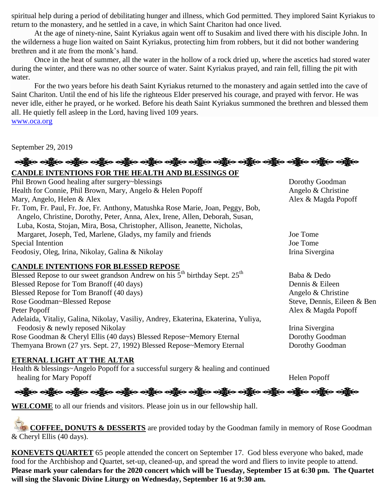spiritual help during a period of debilitating hunger and illness, which God permitted. They implored Saint Kyriakus to return to the monastery, and he settled in a cave, in which Saint Chariton had once lived.

At the age of ninety-nine, Saint Kyriakus again went off to Susakim and lived there with his disciple John. In the wilderness a huge lion waited on Saint Kyriakus, protecting him from robbers, but it did not bother wandering brethren and it ate from the monk's hand.

Once in the heat of summer, all the water in the hollow of a rock dried up, where the ascetics had stored water during the winter, and there was no other source of water. Saint Kyriakus prayed, and rain fell, filling the pit with water.

For the two years before his death Saint Kyriakus returned to the monastery and again settled into the cave of Saint Chariton. Until the end of his life the righteous Elder preserved his courage, and prayed with fervor. He was never idle, either he prayed, or he worked. Before his death Saint Kyriakus summoned the brethren and blessed them all. He quietly fell asleep in the Lord, having lived 109 years. [www.oca.org](http://www.oca.org/)

September 29, 2019

# **CANDLE INTENTIONS FOR THE HEALTH AND BLESSINGS OF**  Phil Brown Good healing after surgery~blessings Dorothy Goodman Health for Connie, Phil Brown, Mary, Angelo & Helen Popoff Angelo & Christine Mary, Angelo, Helen & Alex **Alex** Alex **Alex Alex Alex Alex & Magda Popoff** Fr. Tom, Fr. Paul, Fr. Joe, Fr. Anthony, Matushka Rose Marie, Joan, Peggy, Bob, Angelo, Christine, Dorothy, Peter, Anna, Alex, Irene, Allen, Deborah, Susan, Luba, Kosta, Stojan, Mira, Bosa, Christopher, Allison, Jeanette, Nicholas, Margaret, Joseph, Ted, Marlene, Gladys, my family and friends Joe Tome Special Intention Joe Tome Feodosiy, Oleg, Irina, Nikolay, Galina & Nikolay Irina Sivergina **CANDLE INTENTIONS FOR BLESSED REPOSE** Blessed Repose to our sweet grandson Andrew on his  $5^{th}$  birthday Sept.  $25^{th}$  Baba & Dedo Blessed Repose for Tom Branoff (40 days) Dennis & Eileen Blessed Repose for Tom Branoff (40 days) Angelo & Christine Rose Goodman~Blessed Repose Steve, Dennis, Eileen & Ben Peter Popoff Alex & Magda Popoff Adelaida, Vitaliy, Galina, Nikolay, Vasiliy, Andrey, Ekaterina, Ekaterina, Yuliya, Feodosiy & newly reposed Nikolay Irina Sivergina Irina Sivergina Rose Goodman & Cheryl Ellis (40 days) Blessed Repose~Memory Eternal Dorothy Goodman

Themyana Brown (27 yrs. Sept. 27, 1992) Blessed Repose~Memory Eternal Dorothy Goodman

# **ETERNAL LIGHT AT THE ALTAR**

Health & blessings~Angelo Popoff for a successful surgery & healing and continued healing for Mary Popoff Helen Popoff

းသည် ပည်နိုင် သည် ပည်နိုင် သည် ပည်နိုင် သည် ပည်နိုင် သည် ပည်နိုင် သည် ပည်နိုင် သည် ပည်နိုင် သည်

**WELCOME** to all our friends and visitors. Please join us in our fellowship hall.

**COFFEE, DONUTS & DESSERTS** are provided today by the Goodman family in memory of Rose Goodman & Cheryl Ellis (40 days).

**KONEVETS QUARTET** 65 people attended the concert on September 17. God bless everyone who baked, made food for the Archbishop and Quartet, set-up, cleaned-up, and spread the word and fliers to invite people to attend. **Please mark your calendars for the 2020 concert which will be Tuesday, September 15 at 6:30 pm. The Quartet will sing the Slavonic Divine Liturgy on Wednesday, September 16 at 9:30 am.**

# <u>ထို့က တစ္ဆိုးဝ တစ္ဆိုးဝ တစ္ဆိုးဝ တစ္ဆိုးဝ တစ္ဆိုးဝ တစ္ဆိုးဝ တစ္ဆိုးဝ တစ္ဆိုးဝ တစ္ဆိုးဝ တစ္ဆိုးဝ တစ္ဆိုးဝ</u>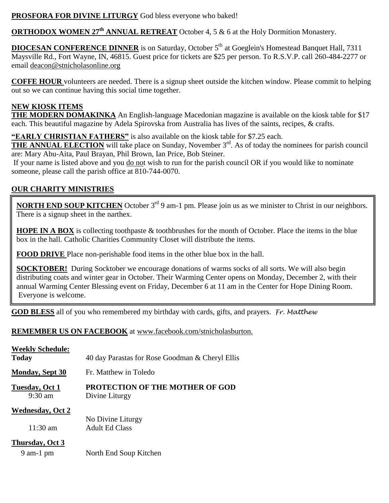## **PROSFORA FOR DIVINE LITURGY** God bless everyone who baked!

**ORTHODOX WOMEN 27th ANNUAL RETREAT** October 4, 5 & 6 at the Holy Dormition Monastery.

**DIOCESAN CONFERENCE DINNER** is on Saturday, October 5<sup>th</sup> at Goeglein's Homestead Banquet Hall, 7311 Maysville Rd., Fort Wayne, IN, 46815. Guest price for tickets are \$25 per person. To R.S.V.P. call 260-484-2277 or email [deacon@stnicholasonline.org](mailto:deacon@stnicholasonline.org)

**COFFE HOUR** volunteers are needed. There is a signup sheet outside the kitchen window. Please commit to helping out so we can continue having this social time together.

### **NEW KIOSK ITEMS**

**THE MODERN DOMAKINKA** An English-language Macedonian magazine is available on the kiosk table for \$17 each. This beautiful magazine by Adela Spirovska from Australia has lives of the saints, recipes, & crafts.

**"EARLY CHRISTIAN FATHERS"** is also available on the kiosk table for \$7.25 each.

**THE ANNUAL ELECTION** will take place on Sunday, November 3<sup>rd</sup>. As of today the nominees for parish council are: Mary Abu-Aita, Paul Brayan, Phil Brown, Ian Price, Bob Steiner.

If your name is listed above and you do not wish to run for the parish council OR if you would like to nominate someone, please call the parish office at 810-744-0070.

# **OUR CHARITY MINISTRIES**

**NORTH END SOUP KITCHEN** October 3<sup>rd</sup> 9 am-1 pm. Please join us as we minister to Christ in our neighbors. There is a signup sheet in the narthex.

**HOPE IN A BOX** is collecting toothpaste & toothbrushes for the month of October. Place the items in the blue box in the hall. Catholic Charities Community Closet will distribute the items.

**FOOD DRIVE** Place non-perishable food items in the other blue box in the hall.

**SOCKTOBER!** During Socktober we encourage donations of warms socks of all sorts. We will also begin distributing coats and winter gear in October. Their Warming Center opens on Monday, December 2, with their annual Warming Center Blessing event on Friday, December 6 at 11 am in the Center for Hope Dining Room. Everyone is welcome.

**GOD BLESS** all of you who remembered my birthday with cards, gifts, and prayers. *Fr. Matthew*

### **REMEMBER US ON FACEBOOK** at www.facebook.com/stnicholasburton.

| <b>Weekly Schedule:</b>                       |                                                          |  |
|-----------------------------------------------|----------------------------------------------------------|--|
| <b>Today</b>                                  | 40 day Parastas for Rose Goodman & Cheryl Ellis          |  |
| <b>Monday, Sept 30</b>                        | Fr. Matthew in Toledo                                    |  |
| Tuesday, Oct 1<br>$9:30$ am                   | <b>PROTECTION OF THE MOTHER OF GOD</b><br>Divine Liturgy |  |
| <b>Wednesday, Oct 2</b><br>$11:30 \text{ am}$ | No Divine Liturgy<br><b>Adult Ed Class</b>               |  |
| Thursday, Oct 3                               |                                                          |  |

9 am-1 pm North End Soup Kitchen